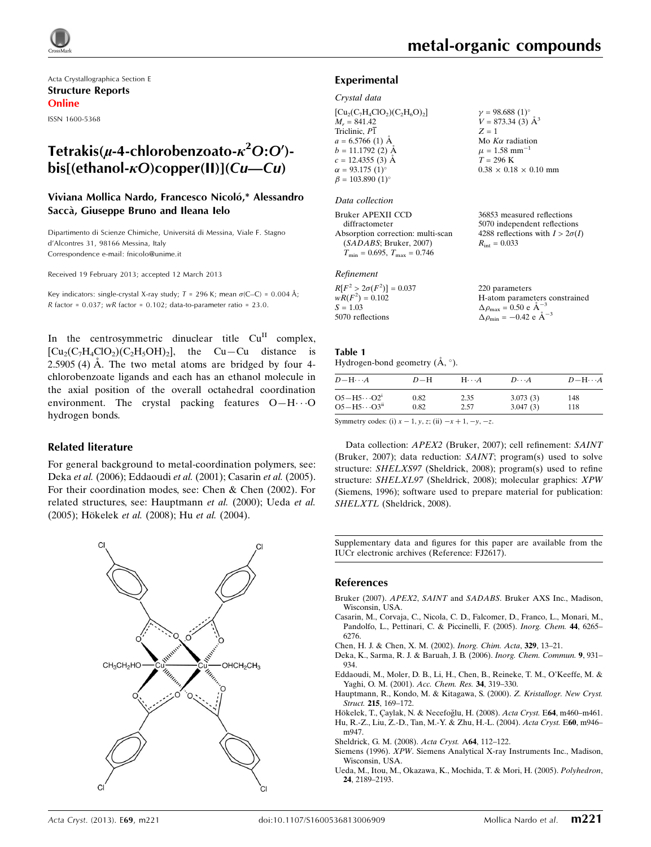Acta Crystallographica Section E Structure Reports Online ISSN 1600-5368

# Tetrakis( $\mu$ -4-chlorobenzoato- $\kappa^2$ O:O') $bis[(ethanol- $\kappa$ O)copper(II)](Cu—Cu)$

### Viviana Mollica Nardo, Francesco Nicoló,\* Alessandro Saccà, Giuseppe Bruno and Ileana Ielo

Dipartimento di Scienze Chimiche, Universita´ di Messina, Viale F. Stagno d'Alcontres 31, 98166 Messina, Italy Correspondence e-mail: [fnicolo@unime.it](https://scripts.iucr.org/cgi-bin/cr.cgi?rm=pdfbb&cnor=fj2617&bbid=BB11)

Received 19 February 2013; accepted 12 March 2013

Key indicators: single-crystal X-ray study;  $T = 296$  K; mean  $\sigma$ (C–C) = 0.004 Å;  $R$  factor = 0.037;  $wR$  factor = 0.102; data-to-parameter ratio = 23.0.

In the centrosymmetric dinuclear title  $Cu<sup>H</sup>$  complex,  $\text{[Cu}_2(\text{C}_7\text{H}_4\text{ClO}_2)(\text{C}_2\text{H}_5\text{OH})_2$ , the Cu–Cu distance is  $2.5905$  (4)  $\AA$ . The two metal atoms are bridged by four 4chlorobenzoate ligands and each has an ethanol molecule in the axial position of the overall octahedral coordination environment. The crystal packing features  $O-H \cdots O$ hydrogen bonds.

### Related literature

For general background to metal-coordination polymers, see: Deka et al. (2006); Eddaoudi et al. (2001); Casarin et al. (2005). For their coordination modes, see: Chen & Chen (2002). For related structures, see: Hauptmann et al. (2000); Ueda et al. (2005); Hökelek et al. (2008); Hu et al. (2004).



# metal-organic compounds

36853 measured reflections 5070 independent reflections 4288 reflections with  $I > 2\sigma(I)$ 

 $R_{\text{int}} = 0.033$ 

### Experimental

#### Crystal data

 $[Cu_2(C_7H_4ClO_2)(C_2H_6O)_2]$  $M_r = 841.42$ Triclinic, P1  $a = 6.5766$  (1) Å  $b = 11.1792$  (2) Å  $c = 12.4355(3)$  Å  $\alpha = 93.175(1)$ °  $\beta = 103.890$  (1)<sup>o</sup>  $v = 98.688 (1)$ °  $V = 873.34(3)$   $\AA^3$  $Z = 1$ Mo  $K\alpha$  radiation  $\mu = 1.58$  mm<sup>-1</sup>  $T = 296$  K  $0.38 \times 0.18 \times 0.10$  mm

#### Data collection

Bruker APEXII CCD diffractometer Absorption correction: multi-scan (SADABS; Bruker, 2007)  $T_{\text{min}} = 0.695, T_{\text{max}} = 0.746$ 

### Refinement

| $R[F^2 > 2\sigma(F^2)] = 0.037$ | 220 parameters                                     |
|---------------------------------|----------------------------------------------------|
| $wR(F^2) = 0.102$               | H-atom parameters constrained                      |
| $S = 1.03$                      | $\Delta \rho_{\text{max}} = 0.50 \text{ e A}^{-3}$ |
| 5070 reflections                | $\Delta \rho_{\text{min}} = -0.42$ e $\AA^{-3}$    |

### Table 1

Hydrogen-bond geometry  $(A, \circ)$ .

| $D - H \cdots A$      | $D-H$ | $H\cdots A$ | $D\cdots A$ | $D - H \cdots A$ |
|-----------------------|-------|-------------|-------------|------------------|
| $O5-H5\cdots O2^i$    | 0.82  | 2.35        | 3.073(3)    | 148              |
| $O5-H5\cdots O3^{ii}$ | 0.82  | 2.57        | 3.047(3)    | 118              |

Symmetry codes: (i)  $x - 1$ ,  $y$ ,  $z$ ; (ii)  $-x + 1$ ,  $-y$ ,  $-z$ .

Data collection: APEX2 (Bruker, 2007); cell refinement: SAINT (Bruker, 2007); data reduction: SAINT; program(s) used to solve structure: SHELXS97 (Sheldrick, 2008); program(s) used to refine structure: SHELXL97 (Sheldrick, 2008); molecular graphics: XPW (Siemens, 1996); software used to prepare material for publication: SHELXTL (Sheldrick, 2008).

Supplementary data and figures for this paper are available from the IUCr electronic archives (Reference: FJ2617).

#### References

- Bruker (2007). APEX2, SAINT and SADABS[. Bruker AXS Inc., Madison,](https://scripts.iucr.org/cgi-bin/cr.cgi?rm=pdfbb&cnor=fj2617&bbid=BB1) [Wisconsin, USA.](https://scripts.iucr.org/cgi-bin/cr.cgi?rm=pdfbb&cnor=fj2617&bbid=BB1)
- [Casarin, M., Corvaja, C., Nicola, C. D., Falcomer, D., Franco, L., Monari, M.,](https://scripts.iucr.org/cgi-bin/cr.cgi?rm=pdfbb&cnor=fj2617&bbid=BB2) [Pandolfo, L., Pettinari, C. & Piccinelli, F. \(2005\).](https://scripts.iucr.org/cgi-bin/cr.cgi?rm=pdfbb&cnor=fj2617&bbid=BB2) Inorg. Chem. 44, 6265– [6276.](https://scripts.iucr.org/cgi-bin/cr.cgi?rm=pdfbb&cnor=fj2617&bbid=BB2)
- [Chen, H. J. & Chen, X. M. \(2002\).](https://scripts.iucr.org/cgi-bin/cr.cgi?rm=pdfbb&cnor=fj2617&bbid=BB3) Inorg. Chim. Acta, 329, 13–21.
- [Deka, K., Sarma, R. J. & Baruah, J. B. \(2006\).](https://scripts.iucr.org/cgi-bin/cr.cgi?rm=pdfbb&cnor=fj2617&bbid=BB4) Inorg. Chem. Commun. 9, 931– [934.](https://scripts.iucr.org/cgi-bin/cr.cgi?rm=pdfbb&cnor=fj2617&bbid=BB4)
- [Eddaoudi, M., Moler, D. B., Li, H., Chen, B., Reineke, T. M., O'Keeffe, M. &](https://scripts.iucr.org/cgi-bin/cr.cgi?rm=pdfbb&cnor=fj2617&bbid=BB5) [Yaghi, O. M. \(2001\).](https://scripts.iucr.org/cgi-bin/cr.cgi?rm=pdfbb&cnor=fj2617&bbid=BB5) Acc. Chem. Res. 34, 319–330.
- [Hauptmann, R., Kondo, M. & Kitagawa, S. \(2000\).](https://scripts.iucr.org/cgi-bin/cr.cgi?rm=pdfbb&cnor=fj2617&bbid=BB6) Z. Kristallogr. New Cryst. Struct. 215[, 169–172.](https://scripts.iucr.org/cgi-bin/cr.cgi?rm=pdfbb&cnor=fj2617&bbid=BB6)
- Hökelek, T., Çaylak, N. & Necefoğlu, H. (2008). Acta Cryst. E64, m460-m461. [Hu, R.-Z., Liu, Z.-D., Tan, M.-Y. & Zhu, H.-L. \(2004\).](https://scripts.iucr.org/cgi-bin/cr.cgi?rm=pdfbb&cnor=fj2617&bbid=BB8) Acta Cryst. E60, m946– [m947.](https://scripts.iucr.org/cgi-bin/cr.cgi?rm=pdfbb&cnor=fj2617&bbid=BB8)
- [Sheldrick, G. M. \(2008\).](https://scripts.iucr.org/cgi-bin/cr.cgi?rm=pdfbb&cnor=fj2617&bbid=BB9) Acta Cryst. A64, 112–122.
- Siemens (1996). XPW[. Siemens Analytical X-ray Instruments Inc., Madison,](https://scripts.iucr.org/cgi-bin/cr.cgi?rm=pdfbb&cnor=fj2617&bbid=BB10) [Wisconsin, USA.](https://scripts.iucr.org/cgi-bin/cr.cgi?rm=pdfbb&cnor=fj2617&bbid=BB10)
- [Ueda, M., Itou, M., Okazawa, K., Mochida, T. & Mori, H. \(2005\).](https://scripts.iucr.org/cgi-bin/cr.cgi?rm=pdfbb&cnor=fj2617&bbid=BB11) Polyhedron, 24[, 2189–2193.](https://scripts.iucr.org/cgi-bin/cr.cgi?rm=pdfbb&cnor=fj2617&bbid=BB11)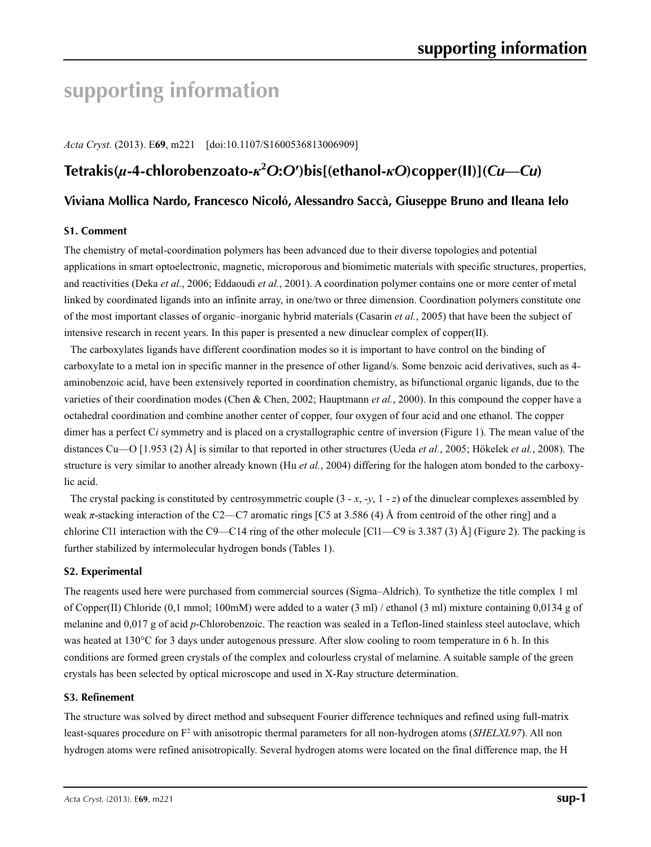# **supporting information**

*Acta Cryst.* (2013). E**69**, m221 [doi:10.1107/S1600536813006909]

# **Tetrakis(***µ***-4-chlorobenzoato-***κ***<sup>2</sup>** *O***:***O***′)bis[(ethanol-***κO***)copper(II)](***Cu***—***Cu***)**

## **Viviana Mollica Nardo, Francesco Nicoló, Alessandro Saccà, Giuseppe Bruno and Ileana Ielo**

### **S1. Comment**

The chemistry of metal-coordination polymers has been advanced due to their diverse topologies and potential applications in smart optoelectronic, magnetic, microporous and biomimetic materials with specific structures, properties, and reactivities (Deka *et al.*, 2006; Eddaoudi *et al.*, 2001). A coordination polymer contains one or more center of metal linked by coordinated ligands into an infinite array, in one/two or three dimension. Coordination polymers constitute one of the most important classes of organic–inorganic hybrid materials (Casarin *et al.*, 2005) that have been the subject of intensive research in recent years. In this paper is presented a new dinuclear complex of copper(II).

The carboxylates ligands have different coordination modes so it is important to have control on the binding of carboxylate to a metal ion in specific manner in the presence of other ligand/s. Some benzoic acid derivatives, such as 4 aminobenzoic acid, have been extensively reported in coordination chemistry, as bifunctional organic ligands, due to the varieties of their coordination modes (Chen & Chen, 2002; Hauptmann *et al.*, 2000). In this compound the copper have a octahedral coordination and combine another center of copper, four oxygen of four acid and one ethanol. The copper dimer has a perfect C*i* symmetry and is placed on a crystallographic centre of inversion (Figure 1). The mean value of the distances Cu—O [1.953 (2) Å] is similar to that reported in other structures (Ueda *et al.*, 2005; Hökelek *et al.*, 2008). The structure is very similar to another already known (Hu *et al.*, 2004) differing for the halogen atom bonded to the carboxylic acid.

The crystal packing is constituted by centrosymmetric couple  $(3 - x, -y, 1 - z)$  of the dinuclear complexes assembled by weak *π*-stacking interaction of the C2—C7 aromatic rings [C5 at 3.586 (4) Å from centroid of the other ring] and a chlorine Cl1 interaction with the C9—C14 ring of the other molecule [Cl1—C9 is 3.387 (3) Å] (Figure 2). The packing is further stabilized by intermolecular hydrogen bonds (Tables 1).

### **S2. Experimental**

The reagents used here were purchased from commercial sources (Sigma–Aldrich). To synthetize the title complex 1 ml of Copper(II) Chloride (0,1 mmol; 100mM) were added to a water (3 ml) / ethanol (3 ml) mixture containing 0,0134 g of melanine and 0,017 g of acid *p*-Chlorobenzoic. The reaction was sealed in a Teflon-lined stainless steel autoclave, which was heated at 130°C for 3 days under autogenous pressure. After slow cooling to room temperature in 6 h. In this conditions are formed green crystals of the complex and colourless crystal of melamine. A suitable sample of the green crystals has been selected by optical microscope and used in X-Ray structure determination.

### **S3. Refinement**

The structure was solved by direct method and subsequent Fourier difference techniques and refined using full-matrix least-squares procedure on F<sup>2</sup> with anisotropic thermal parameters for all non-hydrogen atoms (*SHELXL97*). All non hydrogen atoms were refined anisotropically. Several hydrogen atoms were located on the final difference map, the H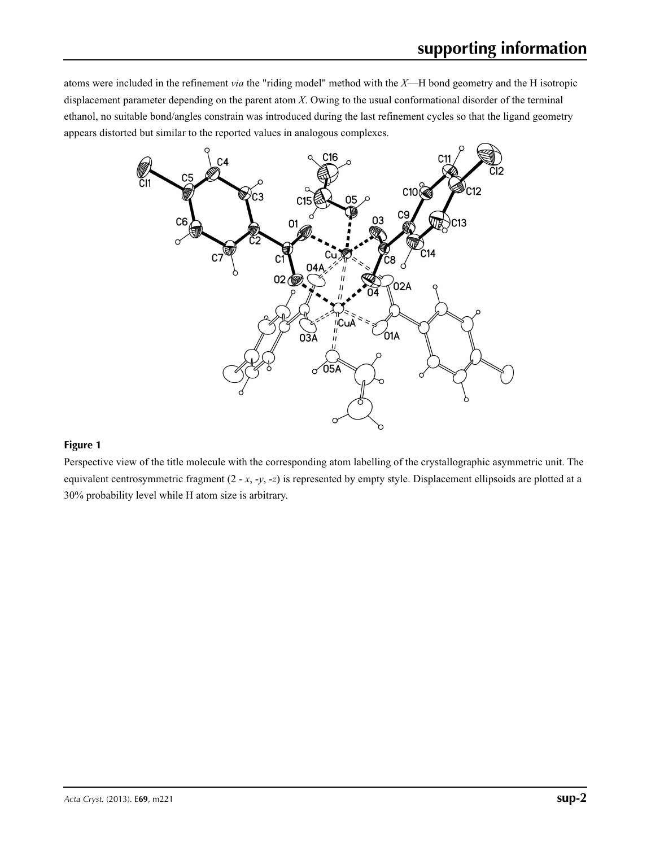atoms were included in the refinement *via* the "riding model" method with the *X*—H bond geometry and the H isotropic displacement parameter depending on the parent atom *X*. Owing to the usual conformational disorder of the terminal ethanol, no suitable bond/angles constrain was introduced during the last refinement cycles so that the ligand geometry appears distorted but similar to the reported values in analogous complexes.



### **Figure 1**

Perspective view of the title molecule with the corresponding atom labelling of the crystallographic asymmetric unit. The equivalent centrosymmetric fragment (2 - *x*, -*y*, -*z*) is represented by empty style. Displacement ellipsoids are plotted at a 30% probability level while H atom size is arbitrary.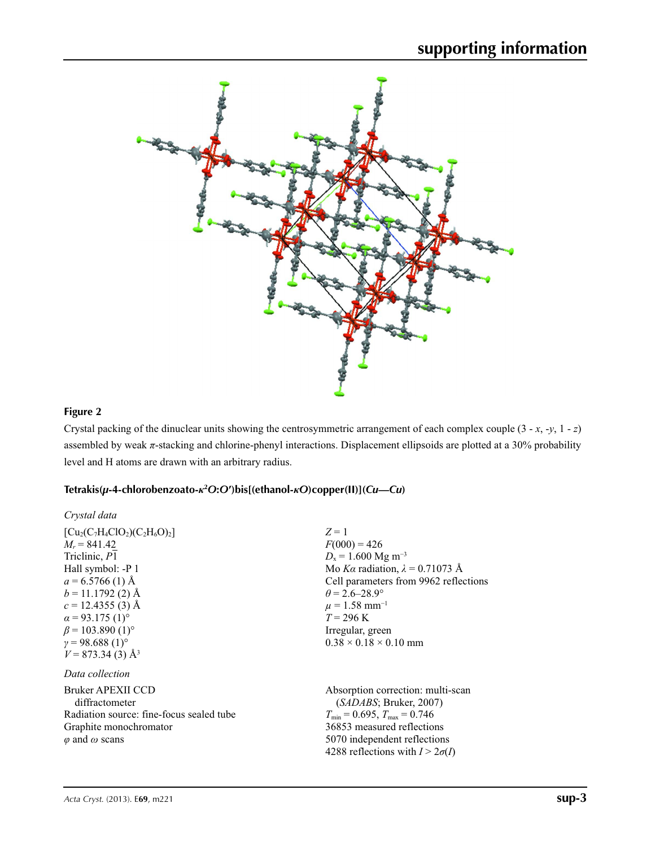

# **Figure 2**

Crystal packing of the dinuclear units showing the centrosymmetric arrangement of each complex couple (3 - *x*, -*y*, 1 - *z*) assembled by weak  $\pi$ -stacking and chlorine-phenyl interactions. Displacement ellipsoids are plotted at a 30% probability level and H atoms are drawn with an arbitrary radius.

### **Tetrakis(***µ***-4-chlorobenzoato-***κ***<sup>2</sup>** *O***:***O***′)bis[(ethanol-***κO***)copper(II)](***Cu***—***Cu***)**

| Crystal data                                                                                                                                                                                                                                                                                      |                                                                                                                                                                                                                                                                                                  |
|---------------------------------------------------------------------------------------------------------------------------------------------------------------------------------------------------------------------------------------------------------------------------------------------------|--------------------------------------------------------------------------------------------------------------------------------------------------------------------------------------------------------------------------------------------------------------------------------------------------|
| $[C_{u_2}(C_7H_4ClO_2)(C_2H_6O)_2]$<br>$M_r = 841.42$<br>Triclinic, P1<br>Hall symbol: -P 1<br>$a = 6.5766$ (1) Å<br>$b = 11.1792$ (2) Å<br>$c = 12.4355(3)$ Å<br>$\alpha$ = 93.175 (1) <sup>o</sup><br>$\beta$ = 103.890 (1) <sup>o</sup><br>$v = 98.688(1)$ °<br>$V = 873.34(3)$ Å <sup>3</sup> | $Z=1$<br>$F(000) = 426$<br>$D_x = 1.600$ Mg m <sup>-3</sup><br>Mo Ka radiation, $\lambda = 0.71073$ Å<br>Cell parameters from 9962 reflections<br>$\theta = 2.6 - 28.9^{\circ}$<br>$\mu = 1.58$ mm <sup>-1</sup><br>$T = 296 \text{ K}$<br>Irregular, green<br>$0.38 \times 0.18 \times 0.10$ mm |
| Data collection                                                                                                                                                                                                                                                                                   |                                                                                                                                                                                                                                                                                                  |
| Bruker APEXII CCD<br>diffractometer<br>Radiation source: fine-focus sealed tube<br>Graphite monochromator<br>$\varphi$ and $\omega$ scans                                                                                                                                                         | Absorption correction: multi-scan<br>(SADABS; Bruker, 2007)<br>$T_{\min}$ = 0.695, $T_{\max}$ = 0.746<br>36853 measured reflections<br>5070 independent reflections<br>4288 reflections with $I > 2\sigma(I)$                                                                                    |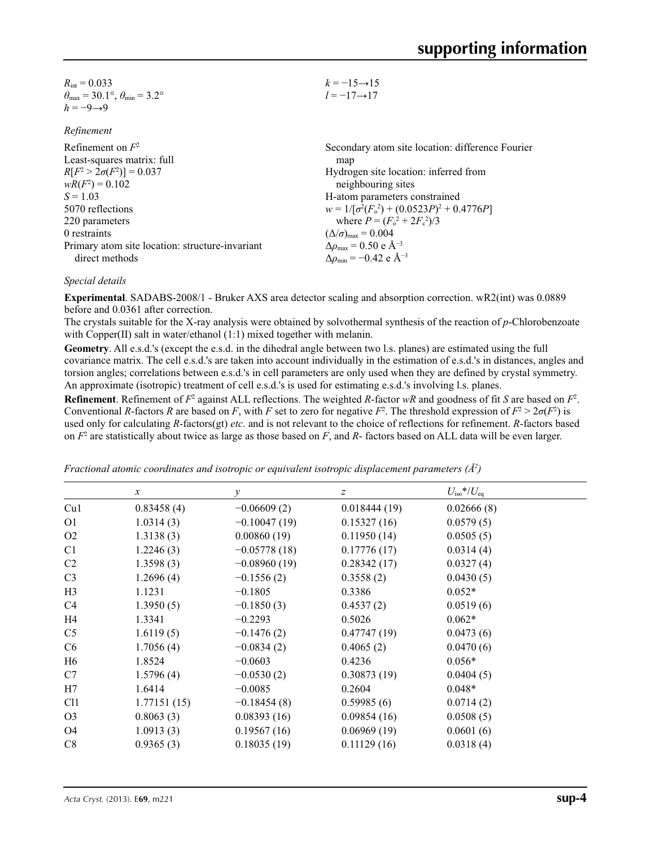| $R_{\rm int} = 0.033$                                       | $k = -15 \rightarrow 15$ |
|-------------------------------------------------------------|--------------------------|
| $\theta_{\text{max}}$ = 30.1°, $\theta_{\text{min}}$ = 3.2° | $l = -17 \rightarrow 17$ |
| $h = -9 \rightarrow 9$                                      |                          |

| Refinement |  |
|------------|--|
|------------|--|

| Refinement on $F^2$                             | Secondary atom site location: difference Fourier          |
|-------------------------------------------------|-----------------------------------------------------------|
| Least-squares matrix: full                      | map                                                       |
| $R[F^2 > 2\sigma(F^2)] = 0.037$                 | Hydrogen site location: inferred from                     |
| $wR(F^2) = 0.102$                               | neighbouring sites                                        |
| $S = 1.03$                                      | H-atom parameters constrained                             |
| 5070 reflections                                | $w = 1/[\sigma^2(F_0^2) + (0.0523P)^2 + 0.4776P]$         |
| 220 parameters                                  | where $P = (F_o^2 + 2F_c^2)/3$                            |
| 0 restraints                                    | $(\Delta/\sigma)_{\text{max}} = 0.004$                    |
| Primary atom site location: structure-invariant | $\Delta\rho_{\text{max}}$ = 0.50 e Å <sup>-3</sup>        |
| direct methods                                  | $\Delta\rho_{\rm min} = -0.42 \text{ e } \text{\AA}^{-3}$ |
|                                                 |                                                           |

### *Special details*

**Experimental**. SADABS-2008/1 - Bruker AXS area detector scaling and absorption correction. wR2(int) was 0.0889 before and 0.0361 after correction.

The crystals suitable for the X-ray analysis were obtained by solvothermal synthesis of the reaction of *p*-Chlorobenzoate with Copper(II) salt in water/ethanol (1:1) mixed together with melanin.

**Geometry**. All e.s.d.'s (except the e.s.d. in the dihedral angle between two l.s. planes) are estimated using the full covariance matrix. The cell e.s.d.'s are taken into account individually in the estimation of e.s.d.'s in distances, angles and torsion angles; correlations between e.s.d.'s in cell parameters are only used when they are defined by crystal symmetry. An approximate (isotropic) treatment of cell e.s.d.'s is used for estimating e.s.d.'s involving l.s. planes.

**Refinement**. Refinement of  $F^2$  against ALL reflections. The weighted  $R$ -factor  $wR$  and goodness of fit  $S$  are based on  $F^2$ . Conventional *R*-factors *R* are based on *F*, with *F* set to zero for negative *F*<sup>2</sup>. The threshold expression of  $F^2 > 2\sigma(F^2)$  is used only for calculating *R*-factors(gt) *etc*. and is not relevant to the choice of reflections for refinement. *R*-factors based on *F*<sup>2</sup> are statistically about twice as large as those based on *F*, and *R*- factors based on ALL data will be even larger.

|                 | $\mathcal{X}$ | $\mathcal{Y}$  | $\boldsymbol{Z}$ | $U_{\rm iso}*/U_{\rm eq}$ |  |
|-----------------|---------------|----------------|------------------|---------------------------|--|
| Cu1             | 0.83458(4)    | $-0.06609(2)$  | 0.018444(19)     | 0.02666(8)                |  |
| O <sub>1</sub>  | 1.0314(3)     | $-0.10047(19)$ | 0.15327(16)      | 0.0579(5)                 |  |
| O2              | 1.3138(3)     | 0.00860(19)    | 0.11950(14)      | 0.0505(5)                 |  |
| C <sub>1</sub>  | 1.2246(3)     | $-0.05778(18)$ | 0.17776(17)      | 0.0314(4)                 |  |
| C <sub>2</sub>  | 1.3598(3)     | $-0.08960(19)$ | 0.28342(17)      | 0.0327(4)                 |  |
| C <sub>3</sub>  | 1.2696(4)     | $-0.1556(2)$   | 0.3558(2)        | 0.0430(5)                 |  |
| H3              | 1.1231        | $-0.1805$      | 0.3386           | $0.052*$                  |  |
| C4              | 1.3950(5)     | $-0.1850(3)$   | 0.4537(2)        | 0.0519(6)                 |  |
| H4              | 1.3341        | $-0.2293$      | 0.5026           | $0.062*$                  |  |
| C <sub>5</sub>  | 1.6119(5)     | $-0.1476(2)$   | 0.47747(19)      | 0.0473(6)                 |  |
| C <sub>6</sub>  | 1.7056(4)     | $-0.0834(2)$   | 0.4065(2)        | 0.0470(6)                 |  |
| H6              | 1.8524        | $-0.0603$      | 0.4236           | $0.056*$                  |  |
| C7              | 1.5796(4)     | $-0.0530(2)$   | 0.30873(19)      | 0.0404(5)                 |  |
| H7              | 1.6414        | $-0.0085$      | 0.2604           | $0.048*$                  |  |
| C <sub>11</sub> | 1.77151(15)   | $-0.18454(8)$  | 0.59985(6)       | 0.0714(2)                 |  |
| O <sub>3</sub>  | 0.8063(3)     | 0.08393(16)    | 0.09854(16)      | 0.0508(5)                 |  |
| O <sub>4</sub>  | 1.0913(3)     | 0.19567(16)    | 0.06969(19)      | 0.0601(6)                 |  |
| C8              | 0.9365(3)     | 0.18035(19)    | 0.11129(16)      | 0.0318(4)                 |  |
|                 |               |                |                  |                           |  |

*Fractional atomic coordinates and isotropic or equivalent isotropic displacement parameters (Å<sup>2</sup>)*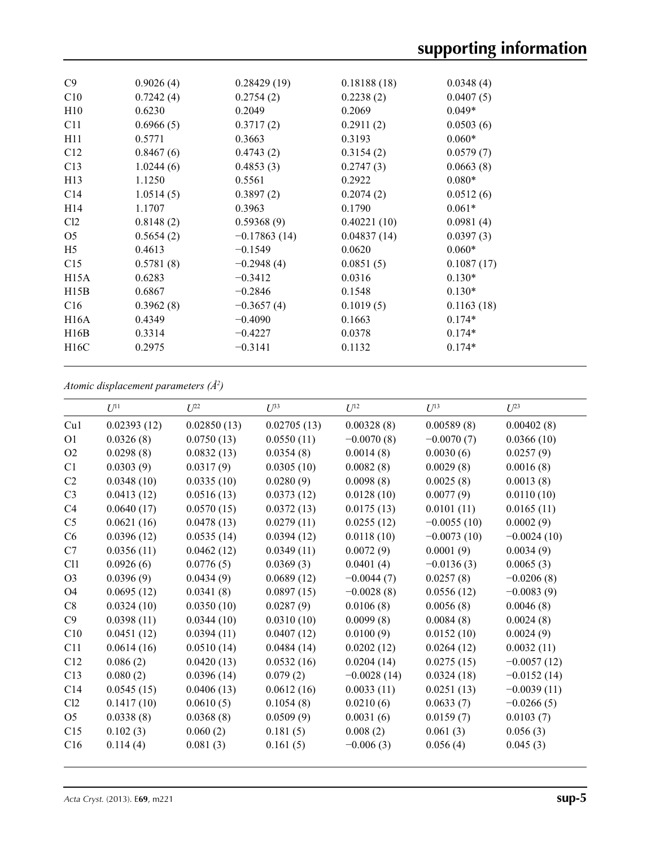| C9              | 0.9026(4) | 0.28429(19)    | 0.18188(18) | 0.0348(4)  |  |
|-----------------|-----------|----------------|-------------|------------|--|
| C10             | 0.7242(4) | 0.2754(2)      | 0.2238(2)   | 0.0407(5)  |  |
| H10             | 0.6230    | 0.2049         | 0.2069      | $0.049*$   |  |
| C11             | 0.6966(5) | 0.3717(2)      | 0.2911(2)   | 0.0503(6)  |  |
| H11             | 0.5771    | 0.3663         | 0.3193      | $0.060*$   |  |
| C12             | 0.8467(6) | 0.4743(2)      | 0.3154(2)   | 0.0579(7)  |  |
| C13             | 1.0244(6) | 0.4853(3)      | 0.2747(3)   | 0.0663(8)  |  |
| H13             | 1.1250    | 0.5561         | 0.2922      | $0.080*$   |  |
| C <sub>14</sub> | 1.0514(5) | 0.3897(2)      | 0.2074(2)   | 0.0512(6)  |  |
| H <sub>14</sub> | 1.1707    | 0.3963         | 0.1790      | $0.061*$   |  |
| Cl <sub>2</sub> | 0.8148(2) | 0.59368(9)     | 0.40221(10) | 0.0981(4)  |  |
| O <sub>5</sub>  | 0.5654(2) | $-0.17863(14)$ | 0.04837(14) | 0.0397(3)  |  |
| H <sub>5</sub>  | 0.4613    | $-0.1549$      | 0.0620      | $0.060*$   |  |
| C15             | 0.5781(8) | $-0.2948(4)$   | 0.0851(5)   | 0.1087(17) |  |
| H15A            | 0.6283    | $-0.3412$      | 0.0316      | $0.130*$   |  |
| H15B            | 0.6867    | $-0.2846$      | 0.1548      | $0.130*$   |  |
| C16             | 0.3962(8) | $-0.3657(4)$   | 0.1019(5)   | 0.1163(18) |  |
| H16A            | 0.4349    | $-0.4090$      | 0.1663      | $0.174*$   |  |
| H16B            | 0.3314    | $-0.4227$      | 0.0378      | $0.174*$   |  |
| H16C            | 0.2975    | $-0.3141$      | 0.1132      | $0.174*$   |  |
|                 |           |                |             |            |  |

*Atomic displacement parameters (Å2 )*

|                 | $U^{11}$    | $U^{22}$    | $U^{33}$    | $U^{12}$      | $U^{13}$      | $U^{23}$      |
|-----------------|-------------|-------------|-------------|---------------|---------------|---------------|
| Cu1             | 0.02393(12) | 0.02850(13) | 0.02705(13) | 0.00328(8)    | 0.00589(8)    | 0.00402(8)    |
| O <sub>1</sub>  | 0.0326(8)   | 0.0750(13)  | 0.0550(11)  | $-0.0070(8)$  | $-0.0070(7)$  | 0.0366(10)    |
| O <sub>2</sub>  | 0.0298(8)   | 0.0832(13)  | 0.0354(8)   | 0.0014(8)     | 0.0030(6)     | 0.0257(9)     |
| C <sub>1</sub>  | 0.0303(9)   | 0.0317(9)   | 0.0305(10)  | 0.0082(8)     | 0.0029(8)     | 0.0016(8)     |
| C <sub>2</sub>  | 0.0348(10)  | 0.0335(10)  | 0.0280(9)   | 0.0098(8)     | 0.0025(8)     | 0.0013(8)     |
| C <sub>3</sub>  | 0.0413(12)  | 0.0516(13)  | 0.0373(12)  | 0.0128(10)    | 0.0077(9)     | 0.0110(10)    |
| C <sub>4</sub>  | 0.0640(17)  | 0.0570(15)  | 0.0372(13)  | 0.0175(13)    | 0.0101(11)    | 0.0165(11)    |
| C <sub>5</sub>  | 0.0621(16)  | 0.0478(13)  | 0.0279(11)  | 0.0255(12)    | $-0.0055(10)$ | 0.0002(9)     |
| C <sub>6</sub>  | 0.0396(12)  | 0.0535(14)  | 0.0394(12)  | 0.0118(10)    | $-0.0073(10)$ | $-0.0024(10)$ |
| C7              | 0.0356(11)  | 0.0462(12)  | 0.0349(11)  | 0.0072(9)     | 0.0001(9)     | 0.0034(9)     |
| C <sub>11</sub> | 0.0926(6)   | 0.0776(5)   | 0.0369(3)   | 0.0401(4)     | $-0.0136(3)$  | 0.0065(3)     |
| O <sub>3</sub>  | 0.0396(9)   | 0.0434(9)   | 0.0689(12)  | $-0.0044(7)$  | 0.0257(8)     | $-0.0206(8)$  |
| O <sub>4</sub>  | 0.0695(12)  | 0.0341(8)   | 0.0897(15)  | $-0.0028(8)$  | 0.0556(12)    | $-0.0083(9)$  |
| C8              | 0.0324(10)  | 0.0350(10)  | 0.0287(9)   | 0.0106(8)     | 0.0056(8)     | 0.0046(8)     |
| C9              | 0.0398(11)  | 0.0344(10)  | 0.0310(10)  | 0.0099(8)     | 0.0084(8)     | 0.0024(8)     |
| C10             | 0.0451(12)  | 0.0394(11)  | 0.0407(12)  | 0.0100(9)     | 0.0152(10)    | 0.0024(9)     |
| C11             | 0.0614(16)  | 0.0510(14)  | 0.0484(14)  | 0.0202(12)    | 0.0264(12)    | 0.0032(11)    |
| C12             | 0.086(2)    | 0.0420(13)  | 0.0532(16)  | 0.0204(14)    | 0.0275(15)    | $-0.0057(12)$ |
| C13             | 0.080(2)    | 0.0396(14)  | 0.079(2)    | $-0.0028(14)$ | 0.0324(18)    | $-0.0152(14)$ |
| C14             | 0.0545(15)  | 0.0406(13)  | 0.0612(16)  | 0.0033(11)    | 0.0251(13)    | $-0.0039(11)$ |
| Cl2             | 0.1417(10)  | 0.0610(5)   | 0.1054(8)   | 0.0210(6)     | 0.0633(7)     | $-0.0266(5)$  |
| O <sub>5</sub>  | 0.0338(8)   | 0.0368(8)   | 0.0509(9)   | 0.0031(6)     | 0.0159(7)     | 0.0103(7)     |
| C15             | 0.102(3)    | 0.060(2)    | 0.181(5)    | 0.008(2)      | 0.061(3)      | 0.056(3)      |
| C16             | 0.114(4)    | 0.081(3)    | 0.161(5)    | $-0.006(3)$   | 0.056(4)      | 0.045(3)      |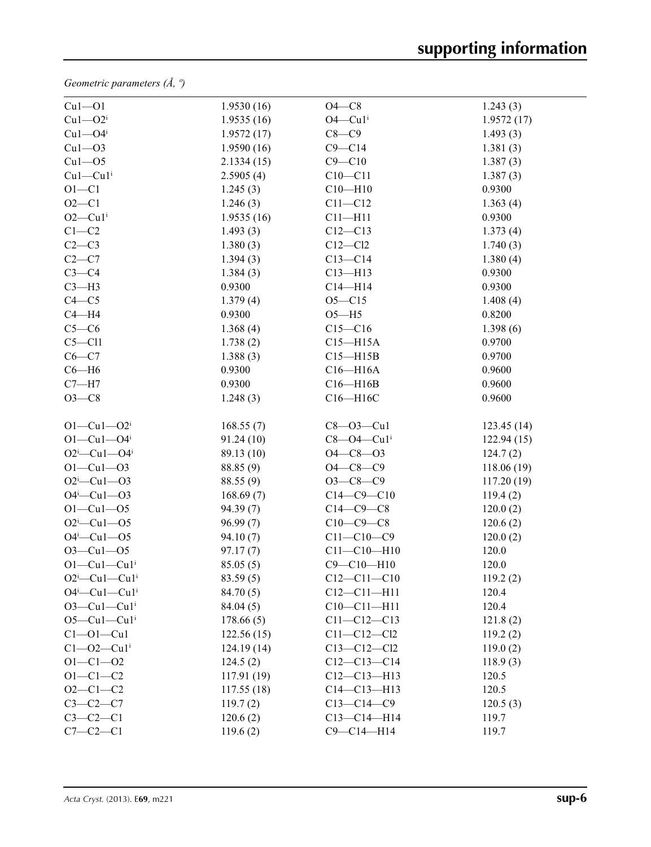*Geometric parameters (Å, º)*

| $Cu1 - O1$                   | 1.9530(16) | $O4 - C8$         | 1.243(3)    |
|------------------------------|------------|-------------------|-------------|
| $Cu1 - O2i$                  | 1.9535(16) | $O4$ — $Cu1i$     | 1.9572(17)  |
| $Cu1 - O4$ <sup>i</sup>      | 1.9572(17) | $C8-C9$           | 1.493(3)    |
| $Cu1 - O3$                   | 1.9590(16) | $C9 - C14$        | 1.381(3)    |
| $Cu1 - O5$                   | 2.1334(15) | $C9 - C10$        | 1.387(3)    |
| $Cu1-Cu1$ <sup>i</sup>       | 2.5905(4)  | $C10-C11$         | 1.387(3)    |
| $O1 - C1$                    | 1.245(3)   | $C10 - H10$       | 0.9300      |
| $O2 - C1$                    | 1.246(3)   | $C11 - C12$       | 1.363(4)    |
| $O2$ —Cu1 <sup>i</sup>       | 1.9535(16) | $C11 - H11$       | 0.9300      |
| $C1-C2$                      | 1.493(3)   | $C12-C13$         | 1.373(4)    |
| $C2-C3$                      | 1.380(3)   | $C12-C12$         | 1.740(3)    |
| $C2-C7$                      | 1.394(3)   | $C13 - C14$       | 1.380(4)    |
| $C3-C4$                      | 1.384(3)   | $C13 - H13$       | 0.9300      |
| $C3-H3$                      | 0.9300     | $C14 - H14$       | 0.9300      |
| $C4 - C5$                    | 1.379(4)   | $O5 - C15$        | 1.408(4)    |
| $C4 - H4$                    | 0.9300     | $O5 - H5$         | 0.8200      |
| $C5-C6$                      | 1.368(4)   | $C15 - C16$       | 1.398(6)    |
| $C5 - C11$                   | 1.738(2)   | $C15 - H15A$      | 0.9700      |
| $C6-C7$                      | 1.388(3)   | $C15 - H15B$      | 0.9700      |
| $C6 - H6$                    | 0.9300     | $C16 - H16A$      | 0.9600      |
| $C7 - H7$                    | 0.9300     | $C16 - H16B$      | 0.9600      |
| $O3-C8$                      | 1.248(3)   | C16-H16C          | 0.9600      |
|                              |            |                   |             |
| $O1 - Cu1 - O2$ <sup>i</sup> | 168.55(7)  | $C8 - O3 - Cu1$   | 123.45(14)  |
| $O1 - Cu1 - O4$ <sup>i</sup> | 91.24(10)  | $C8 - O4 - Cu1$   | 122.94(15)  |
| $O2^i$ -Cul- $O4^i$          | 89.13 (10) | $O4 - C8 - O3$    | 124.7(2)    |
| $O1 - Cu1 - O3$              | 88.85 (9)  | $O4 - C8 - C9$    | 118.06 (19) |
| $O2^i$ -Cu1- $O3$            | 88.55 (9)  | $O3-C8-C9$        | 117.20(19)  |
| $O4^i$ —Cu1—O3               | 168.69(7)  | $C14 - C9 - C10$  | 119.4(2)    |
| $O1 - Cu1 - O5$              | 94.39(7)   | $C14-C9-C8$       | 120.0(2)    |
| $O2^i$ -Cul--O5              | 96.99(7)   | $C10-C9-C8$       | 120.6(2)    |
| $O4^i$ -Cu1- $O5$            | 94.10(7)   | $C11 - C10 - C9$  | 120.0(2)    |
| $O3 - Cu1 - O5$              | 97.17(7)   | $C11 - C10 - H10$ | 120.0       |
| $O1-Cu1-Cu1$ <sup>i</sup>    | 85.05(5)   | $C9 - C10 - H10$  | 120.0       |
| $O2^i$ -Cul-Cul <sup>i</sup> | 83.59(5)   | $C12 - C11 - C10$ | 119.2(2)    |
| $O4^i$ -Cu1-Cu1 <sup>i</sup> | 84.70(5)   | $C12 - C11 - H11$ | 120.4       |
| $O3$ -Cul-Cul <sup>i</sup>   | 84.04(5)   | $C10-C11-H11$     | 120.4       |
| $O5-Cu1-Cu1$ <sup>i</sup>    | 178.66(5)  | $C11 - C12 - C13$ | 121.8(2)    |
| $Cl - O1 - Cu1$              | 122.56(15) | $C11 - C12 - C12$ | 119.2(2)    |
| $C1 - 02 - Cu1$              | 124.19(14) | $C13 - C12 - C12$ | 119.0(2)    |
| $O1 - C1 - O2$               | 124.5(2)   | $C12-C13-C14$     | 118.9(3)    |
| $O1 - C1 - C2$               | 117.91(19) | $C12 - C13 - H13$ | 120.5       |
| $O2 - C1 - C2$               | 117.55(18) | $C14 - C13 - H13$ | 120.5       |
| $C3-C2-C7$                   | 119.7(2)   | $C13-C14-C9$      | 120.5(3)    |
| $C3-C2-C1$                   | 120.6(2)   | $C13 - C14 - H14$ | 119.7       |
| $C7 - C2 - C1$               | 119.6(2)   | $C9 - C14 - H14$  | 119.7       |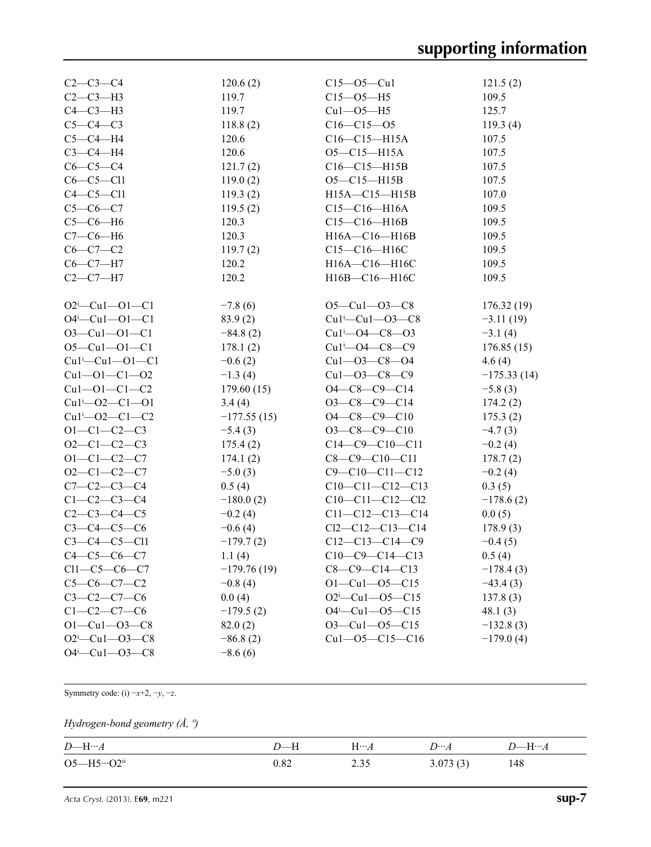| $C2 - C3 - C4$           | 120.6(2)      | $C15 - 05 - Cu1$              | 121.5(2)      |
|--------------------------|---------------|-------------------------------|---------------|
| $C2-C3-H3$               | 119.7         | $C15 - 05 - H5$               | 109.5         |
| $C4-C3-H3$               | 119.7         | $Cu1 - O5 - H5$               | 125.7         |
| $C5-C4-C3$               | 118.8(2)      | $C16 - C15 - O5$              | 119.3(4)      |
| $C5-C4-H4$               | 120.6         | $C16 - C15 - H15A$            | 107.5         |
| $C3-C4-H4$               | 120.6         | $O5 - C15 - H15A$             | 107.5         |
| $C6-C5-C4$               | 121.7(2)      | $C16 - C15 - H15B$            | 107.5         |
| $C6-C5-C11$              | 119.0(2)      | $O5 - C15 - H15B$             | 107.5         |
| $C4-C5-C11$              | 119.3(2)      | $H15A - C15 - H15B$           | 107.0         |
| $C5 - C6 - C7$           | 119.5(2)      | $C15 - C16 - H16A$            | 109.5         |
| $C5-C6-H6$               | 120.3         | $C15 - C16 - H16B$            | 109.5         |
| $C7-C6-H6$               | 120.3         | $H16A - C16 - H16B$           | 109.5         |
| $C6-C7-C2$               | 119.7(2)      | $C15-C16-H16C$                | 109.5         |
| $C6-C7-H7$               | 120.2         | H16A-C16-H16C                 | 109.5         |
| $C2-C7-H7$               | 120.2         | H16B-C16-H16C                 | 109.5         |
|                          |               |                               |               |
| $O2^i$ -Cul--Ol--Cl      | $-7.8(6)$     | $O5 - Cu1 - O3 - C8$          | 176.32(19)    |
| $O4^i$ -Cu1- $O1$ -C1    | 83.9(2)       | $Cu1^i$ — $Cu1$ — $O3$ — $C8$ | $-3.11(19)$   |
| $O3 - Cu1 - O1 - C1$     | $-84.8(2)$    | $Cu1^1 - O4 - C8 - O3$        | $-3.1(4)$     |
| $O5 - Cu1 - O1 - C1$     | 178.1(2)      | $Cu1^1 - O4 - C8 - C9$        | 176.85(15)    |
| $Cu1^i$ -Cu1--O1--C1     | $-0.6(2)$     | $Cu1 - O3 - C8 - O4$          | 4.6(4)        |
| $Cu1 - O1 - C1 - O2$     | $-1.3(4)$     | $Cu1 - O3 - C8 - C9$          | $-175.33(14)$ |
| $Cu1 - O1 - C1 - C2$     | 179.60(15)    | $O4 - C8 - C9 - C14$          | $-5.8(3)$     |
| $Cu1^{i} - 02 - C1 - 01$ | 3.4(4)        | $O3-C8-C9-C14$                | 174.2(2)      |
| $Cu1^{i} - O2 - C1 - C2$ | $-177.55(15)$ | $O4 - C8 - C9 - C10$          | 175.3(2)      |
| $O1 - C1 - C2 - C3$      | $-5.4(3)$     | $O3-C8-C9-C10$                | $-4.7(3)$     |
| $O2 - C1 - C2 - C3$      | 175.4(2)      | $C14-C9-C10-C11$              | $-0.2(4)$     |
| $O1 - C1 - C2 - C7$      | 174.1(2)      | $C8-C9-C10-C11$               | 178.7(2)      |
| $O2 - C1 - C2 - C7$      | $-5.0(3)$     | $C9 - C10 - C11 - C12$        | $-0.2(4)$     |
| $C7 - C2 - C3 - C4$      | 0.5(4)        | $C10-C11-C12-C13$             | 0.3(5)        |
| $C1 - C2 - C3 - C4$      | $-180.0(2)$   | $C10-C11-C12-C12$             | $-178.6(2)$   |
| $C2-C3-C4-C5$            | $-0.2(4)$     | $C11 - C12 - C13 - C14$       | 0.0(5)        |
| $C3 - C4 - C5 - C6$      | $-0.6(4)$     | $Cl2-C12-C13-C14$             | 178.9(3)      |
| $C3 - C4 - C5 - C11$     | $-179.7(2)$   | $C12-C13-C14-C9$              | $-0.4(5)$     |
| $C4 - C5 - C6 - C7$      | 1.1(4)        | $C10-C9-C14-C13$              | 0.5(4)        |
| $Cl1-C5-C6-C7$           | $-179.76(19)$ | $C8-C9-C14-C13$               | $-178.4(3)$   |
| $C5-C6-C7-C2$            | $-0.8(4)$     | $O1 - Cu1 - O5 - C15$         | $-43.4(3)$    |
| $C3-C2-C7-C6$            | 0.0(4)        | $O2^i$ -Cu1- $O5$ -C15        | 137.8(3)      |
| $C1 - C2 - C7 - C6$      | $-179.5(2)$   | $O4^i$ -Cu1- $O5$ -C15        | 48.1(3)       |
| $O1 - Cu1 - O3 - C8$     | 82.0(2)       | $O3$ —Cu $1$ —O5—C15          | $-132.8(3)$   |
| $O2^i$ -Cu1- $O3$ -C8    | $-86.8(2)$    | $Cu1 - O5 - C15 - C16$        | $-179.0(4)$   |
| $O4^i$ -Cu1- $O3$ -C8    | $-8.6(6)$     |                               |               |

Symmetry code: (i) −*x*+2, −*y*, −*z*.

# *Hydrogen-bond geometry (Å, º)*

| $D\text{---} {\bf H} \cdots$<br>$\!A$ |      | $\mathrm{H} \cdots A$ | $D \cdots A$ | $\mathbf{H} \dots \mathbf{\Lambda}$ |
|---------------------------------------|------|-----------------------|--------------|-------------------------------------|
| $O5 - H5 \cdots O2$ <sup>ii</sup>     | ).82 | ر ر.ر                 | 3.073(3)     | 148                                 |

*Acta Cryst.* (2013). E**69**, m221 **sup-7**